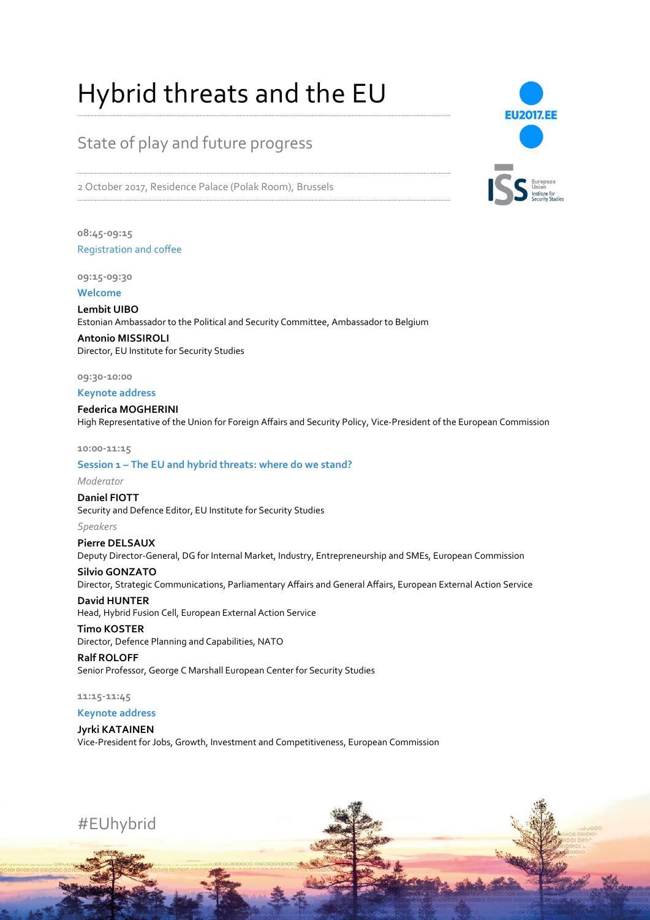# Hybrid threats and the EU

## State of play and future progress

2 October 2017, Residence Palace (Polak Room), Brussels

**08:45-09:15** Registration and coffee

**09:15-09:30**

**Welcome**

**Lembit UIBO**  Estonian Ambassador to the Political and Security Committee, Ambassador to Belgium

**Antonio MISSIROLI** Director, EU Institute for Security Studies

**09:30-10:00**

**Keynote address**

**Federica MOGHERINI**  High Representative of the Union for Foreign Affairs and Security Policy, Vice-President of the European Commission

**10:00-11:15**

#### **Session 1 – The EU and hybrid threats: where do we stand?**

*Moderator*

**Daniel FIOTT** Security and Defence Editor, EU Institute for Security Studies *Speakers*

**Pierre DELSAUX** Deputy Director-General, DG for Internal Market, Industry, Entrepreneurship and SMEs, European Commission

**Silvio GONZATO** Director, Strategic Communications, Parliamentary Affairs and General Affairs, European External Action Service

**David HUNTER** Head, Hybrid Fusion Cell, European External Action Service

**Timo KOSTER**  Director, Defence Planning and Capabilities, NATO

**Ralf ROLOFF** Senior Professor, George C Marshall European Center for Security Studies

**11:15-11:45**

**Keynote address**

### **Jyrki KATAINEN**

Vice-President for Jobs, Growth, Investment and Competitiveness, European Commission